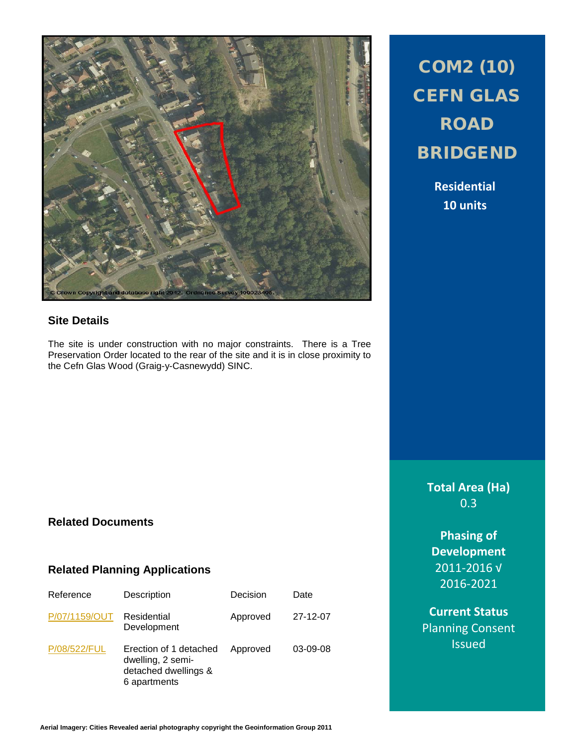

#### **Site Details**

The site is under construction with no major constraints. There is a Tree Preservation Order located to the rear of the site and it is in close proximity to the Cefn Glas Wood (Graig-y-Casnewydd) SINC.

# COM2 (10) CEFN GLAS ROAD BRIDGEND

**Residential 10 units**

**Total Area (Ha)** 0.3

**Phasing of Development** 2011-2016 √ 2016-2021

**Current Status** Planning Consent **Issued** 

## **Related Documents**

#### **Related Planning Applications**

| Reference     | Description                                                                         | Decision | Date       |
|---------------|-------------------------------------------------------------------------------------|----------|------------|
| P/07/1159/OUT | Residential<br>Development                                                          | Approved | 27-12-07   |
| P/08/522/FUL  | Erection of 1 detached<br>dwelling, 2 semi-<br>detached dwellings &<br>6 apartments | Approved | $03-09-08$ |